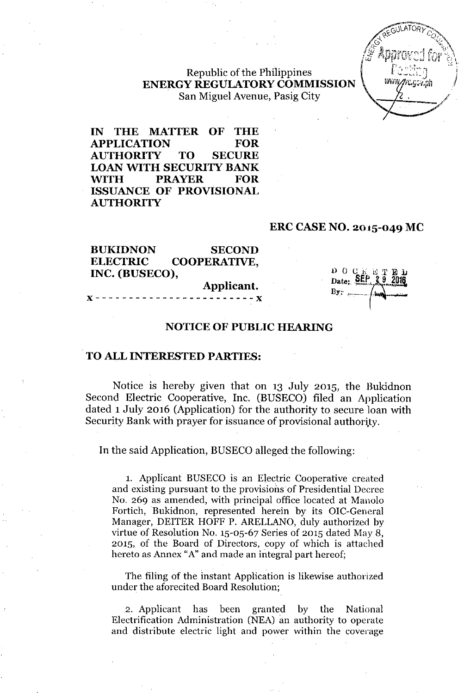Republic of the Philippines **ENERGY REGUlATORY COMMISSION** . San Miguel Avenue, Pasig City



**IN THE MATTER OF THE APPLICATION FOR AUTHORITY TO SECURE LOAN WITH SECURITY BANK WITH PRAYER FOR ISSUANCE OF PROVISIONAL AUTHORITY**

#### **ERC CASE NO. 2015-049 Me**

| <b>BUKIDNON</b> | <b>SECOND</b>       |  |
|-----------------|---------------------|--|
| <b>ELECTRIC</b> | <b>COOPERATIVE,</b> |  |
| INC. (BUSECO),  |                     |  |
|                 | Applicant.          |  |

x------------------------x

D O C Date: SEP

## **NOTICE OF PUBLIC HEARING**

### **TO ALL INTERESTED PARTIES:**

Notice is hereby given that on 13 July 2015, the Bukidnon Second Electric Cooperative, Inc. (BUSECO) filed an Application dated 1 July 2016 (Application) for the authority to secure loan with Security Bank with prayer for issuance of provisional authority.

In the said Application, BUSECO alleged the following:

1. Applicant BUSECO is an Electric Cooperative created and existing pursuant to the provisions of Presidential Decree No. 269 as amended, with principal office located at Manolo Fortich, Bukidnon, represented herein by its OIC-General Manager, DEITER HOFF P. ARELLANO, duly authorized by virtue of Resolution No. 15-05-67 Series of 2015 dated May 8, 2015, of the Board of Directors, copy of which is attached hereto as Annex "A" and made an integral part hereof;

The filing of the instant Application is likewise authorized under the aforecited Board Resolution;

2. Applicant has been granted by the National Electrification Administration (NEA) an authority to operate and distribute electric light and power within the coverage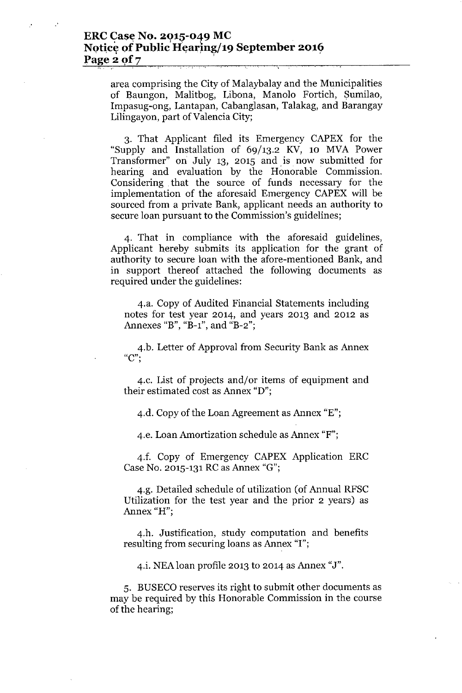## **ERC** Case No. 2015-049 MC Notice of Public Hearing/19 September 2016 **Page 2 Qf7 '** .',. ,

 $\cdot$ 

area comprising the City of Malaybalay and the Municipalities of Baungon, Malitbog, Libona, Manolo Fortich, Sumilao, Impasug-ong, Lantapan, Cabanglasan, Talakag, and Barangay Lilingayon, part of Valencia City;

3. That Applicant filed its Emergency CAPEX for the "Supply and Installation of 69/13.2 KV, 10 MVA Power Transformer" on July 13, 2015 and is now submitted for hearing and evaluation by the Honorable. Commission. Considering that the source of funds necessary for the implementation of the aforesaid Emergency CAPEX will be sourced from a private Bank, applicant needs an authority to secure loan pursuant to the Commission's guidelines;

4. That in compliance with the aforesaid guidelines, Applicant hereby submits its application for the grant of authority to secure loan with the afore-mentioned Bank, and in support thereof attached the following documents as required under the guidelines:

4.a. Copy of Audited Financial Statements including notes for test year 2014, and years 2013 and 2012 as Annexes "B", "B-1", and "B-2";

4.b. Letter of Approval from Security Bank as Annex **"e'"** ,

4.c. List of projects and/or items of equipment and their estimated cost as Annex "D";

4.d. Copy of the Loan Agreement as Annex "E";

4.e. Loan Amortization schedule as Annex "F";

4.f. Copy of Emergency CAPEX Application ERC Case No. 2015-131RCas Annex "G";

4.g. Detailed schedule of utilization (of Annual RFSC Utilization for the test year and the prior 2 years) as Annex "H",

4.h. Justification, study computation and benefits resulting from securing loans as Annex "I";

4.i. NEAloan profile 2013 to 2014 as Annex "J".

5. BUSECO reserves its right to submit other documents as may be required by this Honorable Commission in the course of the hearing;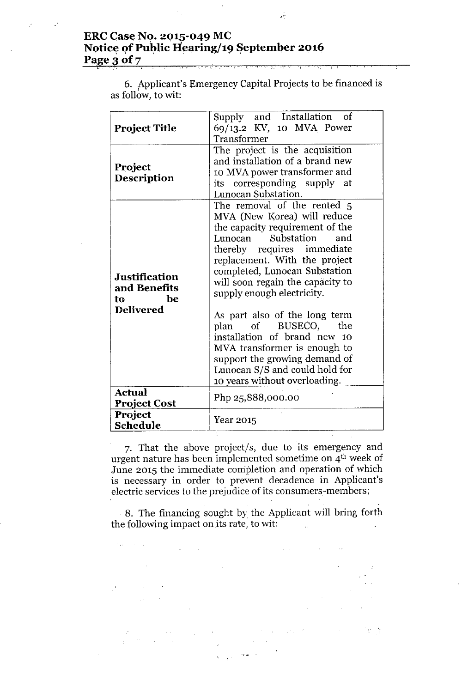# **ERC Case No. 2Q15-049 Me** Notice of Public Hearing/19 September 2016 **Page 3 of 7**

V

| <b>Project Title</b><br>Project<br>Description                       | Supply and Installation of<br>69/13.2 KV, 10 MVA Power<br>Transformer<br>The project is the acquisition<br>and installation of a brand new<br>10 MVA power transformer and<br>its corresponding supply at<br>Lunocan Substation.                                                                                                                                                                                                                                                                                               |
|----------------------------------------------------------------------|--------------------------------------------------------------------------------------------------------------------------------------------------------------------------------------------------------------------------------------------------------------------------------------------------------------------------------------------------------------------------------------------------------------------------------------------------------------------------------------------------------------------------------|
| <b>Justification</b><br>and Benefits<br>be<br>to<br><b>Delivered</b> | The removal of the rented 5<br>MVA (New Korea) will reduce<br>the capacity requirement of the<br>Substation<br>Lunocan<br>and<br>thereby requires immediate<br>replacement. With the project<br>completed, Lunocan Substation<br>will soon regain the capacity to<br>supply enough electricity.<br>As part also of the long term<br>plan of BUSECO,<br>the<br>installation of brand new 10<br>MVA transformer is enough to<br>support the growing demand of<br>Lunocan S/S and could hold for<br>10 years without overloading. |
| <b>Actual</b><br><b>Project Cost</b>                                 | Php 25,888,000.00                                                                                                                                                                                                                                                                                                                                                                                                                                                                                                              |
| Project<br>Schedule                                                  | Year 2015                                                                                                                                                                                                                                                                                                                                                                                                                                                                                                                      |

6. Applicant's Emergency Capital Projects to be financed is as follow, to wit:

7. That the above project/s, due to its emergency and urgent nature has been implemented sometime on 4th week of June 2015 the immediate completion and operation of which is necessary in order to prevent decadence in Applicant's electric services to the prejudice of its consumers-members;

8. The financing sought by the Applicant will bring forth the following impact on its rate, to wit:

 $\epsilon_{\mu\nu}$  $\sim 10^{-1}$  k  $\sim 10^6$ 「七分  $\mathcal{L}_{\text{max}} = \epsilon$ 

 $\frac{1}{2} \frac{1}{2} \frac{1}{2} \frac{1}{2} \frac{1}{2}$ 

 $\mathcal{L}^{\mathcal{L}}$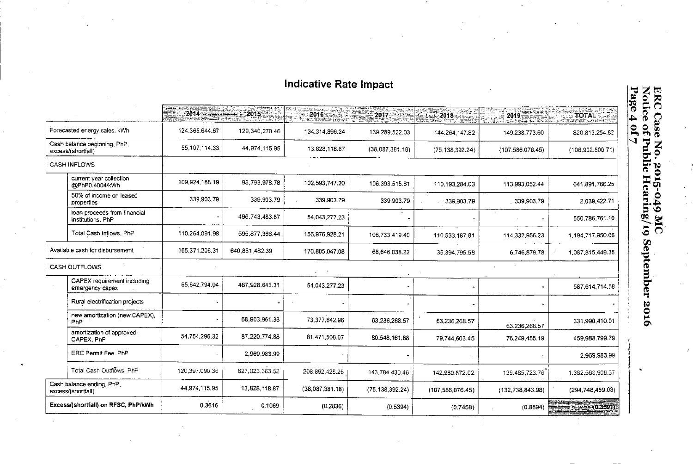# **Indicative Rate Impact**

|                                                    | $\begin{array}{c c} \textbf{2014} & \textbf{321} \end{array}$ | 2015           | 2016              | $\approx 2017$    | $2018 -$           |                     | 한도로 그림<br>TÖTAL<br>a kiraayik |
|----------------------------------------------------|---------------------------------------------------------------|----------------|-------------------|-------------------|--------------------|---------------------|-------------------------------|
| Forecasted energy sales, kWh                       | 124.365.644.67                                                | 129,340,270.46 | 134, 314, 896, 24 | 139,289,522.03    | 144.264.147.82     | 149.238.773.60      | 820.813.254.82                |
| Cash balance beginning, PhP,<br>excess/(shortfall) | 55,107,114.33                                                 | 44.974.115.95  | 13.828.118.87     | (38,087,381.18)   | (75, 138, 392.24)  | (107, 586, 076, 45) | (106.902, 500.71)             |
| <b>CASH INFLOWS</b>                                |                                                               |                |                   |                   |                    |                     |                               |
| current year collection<br>@PhP0.4004/kWh          | 109,924,188.19                                                | 98,793,978.78  | 102.593.747.20    | 106.393.515.61    | 110,193,284.03     | 113.993.052.44      | 641,891,766.25                |
| 50% of income on leased<br>properties              | 339,903.79                                                    | 339,903.79     | 339.903.79        | 339,903.79        | 339,903.79         | 339,903.79          | 2.039,422.71                  |
| loan proceeds from financial<br>institutions, PhP  |                                                               | 496,743,483.87 | 54.043.277.23     |                   |                    |                     | 550,786,761.10                |
| Total Cash Inflows, PhP                            | 110.264.091.98                                                | 595,877,366.44 | 156.976.928.21    | 106.733.419.40    | 110,533,187.81     | 114,332,956.23      | 1.194.717.950.06              |
| Available cash for disbursement                    | 165.371.206.31                                                | 640.851.482.39 | 170,805,047.08    | 68.646.038.22     | 35,394,795.58      | 6,746,879.78        | 1,087,815,449.35              |
| <b>CASH OUTFLOWS</b>                               |                                                               |                |                   |                   |                    |                     |                               |
| CAPEX requirement including<br>emergency capex     | 65,642,794.04                                                 | 467,928,643.31 | 54.043.277.23     |                   |                    |                     | 587,614,714.58                |
| Rural electrification projects                     |                                                               |                |                   |                   |                    |                     |                               |
| new amortization (new CAPEX),<br><b>PhP</b>        |                                                               | 68.903.961.33  | 73,377,642.96     | 63,236,268.57     | 63,236,268.57      | 63.236.268.57       | 331,990,410.01                |
| amortization of approved<br>CAPEX, PhP             | 54,754,296,32                                                 | 87.220,774.88  | 81,471,508.07     | 80,548,161.88     | 79,744,603.45      | 76,249.455.19       | 459,988,799.79                |
| ERC Permit Fee, PhP                                |                                                               | 2.969.983.99   |                   |                   |                    |                     | 2.969.983.99                  |
| Total Cash Outflows, PhP                           | 120,397,090.36                                                | 627,023,363.52 | 208.892,428.26    | 143,784,430.46    | 142,980,872.02     | 139.485,723.76      | 1,382,563,908.37              |
| Cash balance ending, PhP,<br>excess/(shortfall)    | 44,974,115.95                                                 | 13,828.118.87  | (38,087,381.18)   | (75, 138, 392.24) | (107, 586, 076.45) | (132, 738, 843.98)  | (294,748,459.03)              |
| Excess/(shortfall) on RFSC, PhP/kWh                | 0.3616                                                        | 0.1069         | (0.2836)          | (0.5394)          | (0.7458)           | (0.8894)            | $\frac{1}{2}$ (0.3591).       |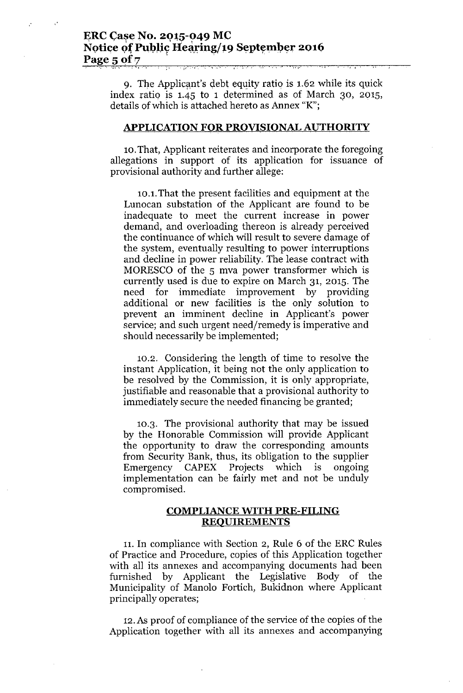## **ERC** Case No. 2015-049 MC Notice of Public Hearing/19 September 2016 **Page** 5 of 7

, '.e\ I. , • I ' , '" ;<' ," , " .- , ,. ~ • '. , •

9. The Applicant's debt equity ratio is  $1.62$  while its quick index ratio is 1.45 to 1 determined as of March 30, 2015, details of which is attached hereto as Annex "K";

#### **APPLICATION FQR PROVISIONAL AUTHORITY**

10.That, Applicant reiterates and incorporate the foregoing allegations in support of its application for issuance of provisional authority and further allege:

10.1.That the present facilities and equipment at the Lunocan substation of the Applicant are found to be inadequate to meet the current increase in power demand, and overloading thereon is already perceived the continuance of which will result to severe damage of the system, eventually resulting to power interruptions and decline in power reliability. The lease contract with MORESCO of the 5 mva power transformer which is currently used is due to expire on March 31, 2015. The need for immediate improvement by providing additional or new facilities is the only solution to prevent an imminent decline in Applicant's power service; and such urgent need/remedy is imperative and should necessarily be implemented;

10.2. Considering the length of time to resolve the instant Application, it being not the only application to be resolved by the Commission, it is only appropriate, justifiable and reasonable that a provisional authority to immediately secure the needed financing be granted;

10.3. The provisional authority that may be issued by the Honorable Commission will provide Applicant the opportunity to draw the corresponding amounts from Security Bank, thus, its obligation to the supplier Emergency CAPEX Projects which is ongoing implementation can be fairly met and not be unduly compromised.

## **COMPLIANCE WITH PRE-FILING REQUIREMENTS**

11. In compliance with Section 2, Rule 6 of the ERC Rules of Practice and Procedure, copies of this Application together with all its annexes and accompanying documents had been furnished by Applicant the Legislative Body of the Municipality of Manolo Fortich, Bukidnon where Applicant principally operates;

12.As proof of compliance of the service of the copies of the Application together with all its annexes and accompanying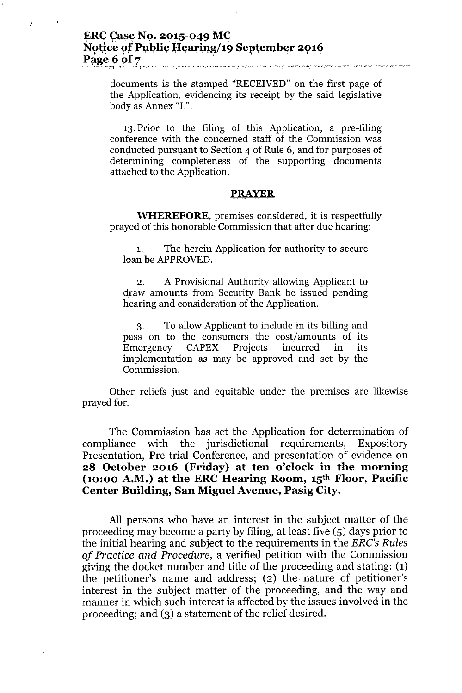,. ;", .'.: I" ., '.

V,

documents is the stamped "RECEIVED" on the first page of the Application, evidencing its receipt by the said legislative body as Annex "L";

13. Prior to the filing of this Application, a pre-filing conference with the concerned staff of the Commission was conducted pursuant to Section 4 of Rule 6, and for purposes of determining completeness of the supporting documents attached to the Application.

## **PRAYER**

**WHEREFORE,**premises considered, it is respectfully prayed of this honorable Commission that after due hearing:

1. The herein Application for authority to secure loan be APPROVED.

2. A Provisional Authority allowing Applicant to draw amounts from Security Bank be issued pending hearing and consideration of the Application.

3. To allow Applicant to include in its billing and pass on to the consumers the cost/amounts of its Emergency CAPEX Projects incurred in its implementation as may be approved and set by the Commission.

Other reliefs just and equitable under the premises are likewise prayed for.

The Commission has set the Application for determination of compliance with the jurisdictional requirements, Expository Presentation, Pre-trial Conference, and presentation of evidence on **28 October 2016 (Friday) at ten o'clock in the morning (10:00 A.M.) at the ERC Hearing Room, 15thFloor, Pacific Center Building, San Miguel Avenue, Pasig City.**

All persons who have an interest in the subject matter of the proceeding may become a party by filing, at least five (5) days prior to the initial hearing and subject to the requirements in the *ERG's Rules of Practice and Procedure,* a verified petition with the Commission giving the docket number and title of the proceeding and stating: (1) the petitioner's name and address; (2) the. nature of petitioner's interest in the subject matter of the proceeding, and the way and manner in which such interest is affected by the issues involved in the proceeding; and (3) a statement of the relief desired.